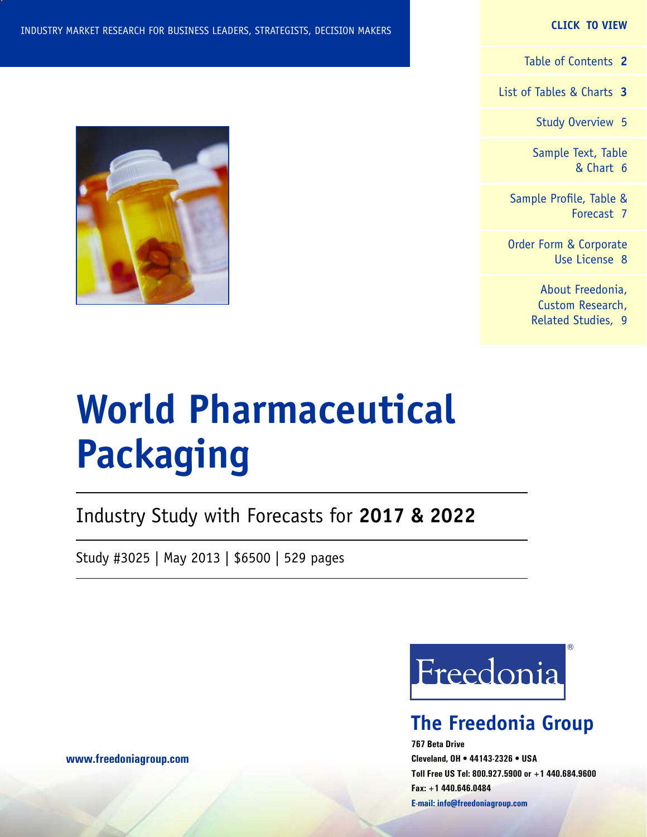#### **CLICK TO VIEW**

[Table of Contents](#page-1-0) **2**

[List of Tables & Charts](#page-2-0) **3**

[Study Overview](#page-4-0) 5

[Sample Text, Table](#page-5-0) [& Chart](#page-5-0) 6

[Sample Profile, Table &](#page-6-0) [Forecast](#page-6-0) 7

[Order Form & Corporate](#page-7-0) [Use License](#page-7-0) 8

> [About Freedonia,](#page-8-0) [Custom Research,](#page-8-0) [Related Studies,](#page-8-0) 9

# **World Pharmaceutical Packaging**

Industry Study with Forecasts for **2017 & 2022**

Study #3025 | May 2013 | \$6500 | 529 pages

Freedonia

## **The Freedonia Group**

**767 Beta Drive Cleveland, OH • 44143-2326 • USA Toll Free US Tel: 800.927.5900 or +1 440.684.9600 Fax: +1 440.646.0484 E-mail: [info@freedoniagroup.com](mailto:info@freedoniagroup.com)**



**[www.freedoniagroup.com](http://www.freedoniagroup.com/Home.aspx?ReferrerId=FM-Bro)**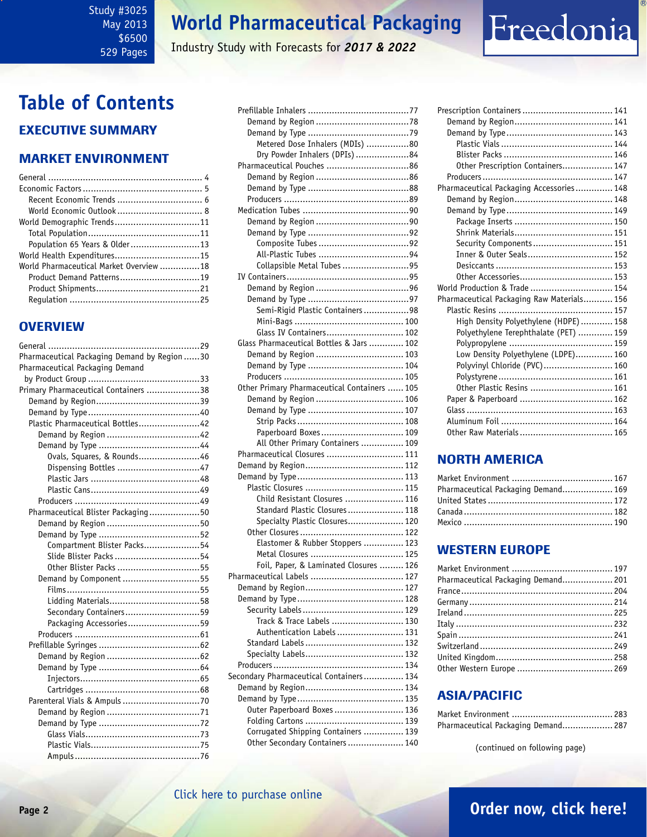#### <span id="page-1-0"></span>Study #3025 May 2013 \$6500 529 Pages

## **World Pharmaceutical Packaging**

Industry Study with Forecasts for *2017 & 2022*

## **Table of Contents** Executive Summary

### Market EnvironmenT

| Population 65 Years & Older13           |  |
|-----------------------------------------|--|
| World Health Expenditures15             |  |
| World Pharmaceutical Market Overview 18 |  |
| Product Demand Patterns19               |  |
|                                         |  |
|                                         |  |
|                                         |  |

### **OVERVIEW**

| Pharmaceutical Packaging Demand by Region 30 |
|----------------------------------------------|
| Pharmaceutical Packaging Demand              |
|                                              |
| Primary Pharmaceutical Containers 38         |
|                                              |
|                                              |
| Plastic Pharmaceutical Bottles42             |
|                                              |
|                                              |
| Ovals, Squares, & Rounds46                   |
| Dispensing Bottles 47                        |
|                                              |
|                                              |
|                                              |
| Pharmaceutical Blister Packaging50           |
|                                              |
|                                              |
| Compartment Blister Packs54                  |
|                                              |
| Other Blister Packs 55                       |
| Demand by Component 55                       |
|                                              |
|                                              |
| Secondary Containers59                       |
| Packaging Accessories59                      |
|                                              |
|                                              |
|                                              |
|                                              |
|                                              |
|                                              |
|                                              |
|                                              |
|                                              |
|                                              |
|                                              |
|                                              |

| Metered Dose Inhalers (MDIs) 80              |
|----------------------------------------------|
| Dry Powder Inhalers (DPIs) 84                |
|                                              |
|                                              |
|                                              |
|                                              |
|                                              |
|                                              |
|                                              |
|                                              |
|                                              |
| Collapsible Metal Tubes 95                   |
|                                              |
|                                              |
|                                              |
|                                              |
| Semi-Rigid Plastic Containers 98             |
|                                              |
| Glass IV Containers 102                      |
| Glass Pharmaceutical Bottles & Jars  102     |
| Demand by Region  103                        |
|                                              |
|                                              |
| Other Primary Pharmaceutical Containers  105 |
| Demand by Region  106                        |
|                                              |
|                                              |
| Paperboard Boxes 109                         |
| All Other Primary Containers  109            |
| Pharmaceutical Closures  111                 |
|                                              |
|                                              |
|                                              |
| Child Resistant Closures  116                |
| Standard Plastic Closures 118                |
| Specialty Plastic Closures 120               |
|                                              |
| Elastomer & Rubber Stoppers  123             |
|                                              |
| Foil, Paper, & Laminated Closures  126       |
|                                              |
|                                              |
|                                              |
|                                              |
| Track & Trace Labels  130                    |
| Authentication Labels  131                   |
|                                              |
|                                              |
|                                              |
| Secondary Pharmaceutical Containers 134      |
|                                              |
|                                              |
| Outer Paperboard Boxes  136                  |
|                                              |
| Corrugated Shipping Containers  139          |
| Other Secondary Containers 140               |
|                                              |

| Other Prescription Containers 147          |  |
|--------------------------------------------|--|
|                                            |  |
| Pharmaceutical Packaging Accessories 148   |  |
|                                            |  |
|                                            |  |
|                                            |  |
|                                            |  |
| Security Components 151                    |  |
| Inner & Outer Seals 152                    |  |
|                                            |  |
|                                            |  |
| World Production & Trade  154              |  |
| Pharmaceutical Packaging Raw Materials 156 |  |
|                                            |  |
| High Density Polyethylene (HDPE)  158      |  |
| Polyethylene Terephthalate (PET)  159      |  |
|                                            |  |
| Low Density Polyethylene (LDPE) 160        |  |
| Polyvinyl Chloride (PVC) 160               |  |
|                                            |  |
| Other Plastic Resins  161                  |  |
|                                            |  |
|                                            |  |
|                                            |  |
|                                            |  |

Freedonia

### NORTH AMERICA

| Pharmaceutical Packaging Demand 169 |  |
|-------------------------------------|--|
|                                     |  |
|                                     |  |
|                                     |  |

### WESTERN EUROPE

| Pharmaceutical Packaging Demand 201 |  |
|-------------------------------------|--|
|                                     |  |
|                                     |  |
|                                     |  |
|                                     |  |
|                                     |  |
|                                     |  |
|                                     |  |
|                                     |  |

### ASIA/PACIFIC

| Pharmaceutical Packaging Demand 287 |  |
|-------------------------------------|--|

(continued on following page)

## **Page 2 [Order now, click here!](#page-7-0)**

### [Click here to purchase online](http://www.freedoniagroup.com/DocumentDetails.aspx?Referrerid=FM-Bro&StudyID=3025)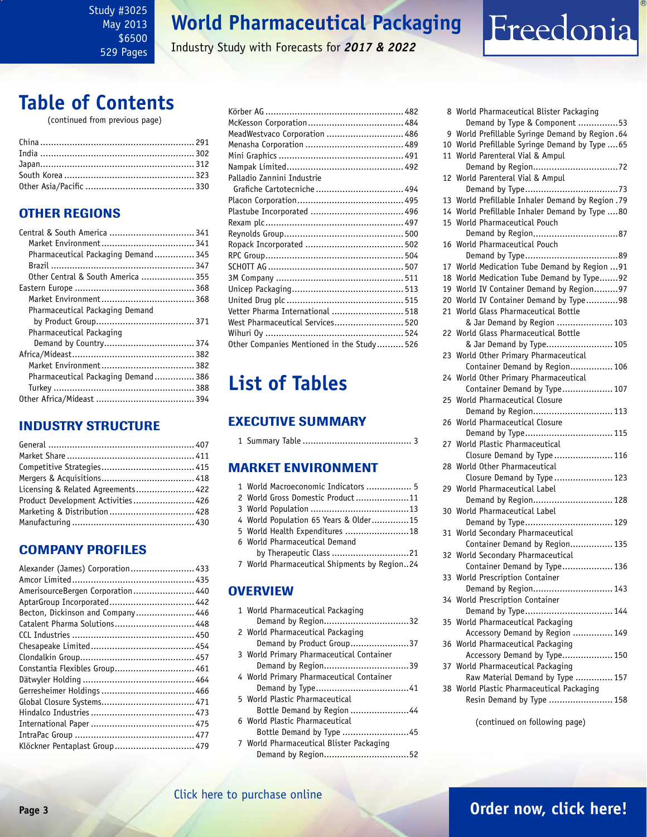<span id="page-2-0"></span>Study #3025 May 2013 \$6500 529 Pages

## **World Pharmaceutical Packaging**

Industry Study with Forecasts for *2017 & 2022*

# Freedonia

## **Table of Contents**

(continued from previous page)

## OTHER REGIONS

| Central & South America  341        |
|-------------------------------------|
|                                     |
| Pharmaceutical Packaging Demand 345 |
|                                     |
| Other Central & South America  355  |
|                                     |
|                                     |
|                                     |
|                                     |
|                                     |
| Demand by Country 374               |
|                                     |
|                                     |
| Pharmaceutical Packaging Demand 386 |
|                                     |
|                                     |
|                                     |

### INDUSTRY STRUCTURE

| Licensing & Related Agreements 422 |  |
|------------------------------------|--|
| Product Development Activities 426 |  |
|                                    |  |
|                                    |  |

## Company Profiles

| Alexander (James) Corporation 433 |  |
|-----------------------------------|--|
|                                   |  |
| AmerisourceBergen Corporation 440 |  |
| AptarGroup Incorporated 442       |  |
| Becton, Dickinson and Company 446 |  |
| Catalent Pharma Solutions 448     |  |
|                                   |  |
|                                   |  |
|                                   |  |
| Constantia Flexibles Group 461    |  |
|                                   |  |
|                                   |  |
|                                   |  |
|                                   |  |
|                                   |  |
|                                   |  |
| Klöckner Pentaplast Group 479     |  |

| MeadWestvaco Corporation  486              |  |
|--------------------------------------------|--|
|                                            |  |
|                                            |  |
|                                            |  |
| Palladio Zannini Industrie                 |  |
| Grafiche Cartotecniche  494                |  |
|                                            |  |
|                                            |  |
|                                            |  |
|                                            |  |
|                                            |  |
|                                            |  |
|                                            |  |
|                                            |  |
|                                            |  |
|                                            |  |
| Vetter Pharma International  518           |  |
| West Pharmaceutical Services 520           |  |
|                                            |  |
| Other Companies Mentioned in the Study 526 |  |
|                                            |  |

## **List of Tables**

### Executive Summary

|--|--|--|--|--|

### Market EnvironmenT

| 1 World Macroeconomic Indicators  5          |
|----------------------------------------------|
| 2 World Gross Domestic Product11             |
|                                              |
| 4 World Population 65 Years & Older15        |
| 5 World Health Expenditures 18               |
| 6 World Pharmaceutical Demand                |
| by Therapeutic Class 21                      |
| 7 World Pharmaceutical Shipments by Region24 |
|                                              |

### **OVERVIEW**

| 1 World Pharmaceutical Packaging         |
|------------------------------------------|
| Demand by Region32                       |
| 2 World Pharmaceutical Packaging         |
| Demand by Product Group37                |
| 3 World Primary Pharmaceutical Container |
|                                          |
| 4 World Primary Pharmaceutical Container |
|                                          |
| 5 World Plastic Pharmaceutical           |
| Bottle Demand by Region 44               |
| 6 World Plastic Pharmaceutical           |
| Bottle Demand by Type 45                 |
| 7 World Pharmaceutical Blister Packaging |
|                                          |

|    | 8 World Pharmaceutical Blister Packaging       |
|----|------------------------------------------------|
|    | Demand by Type & Component 53                  |
| 9  | World Prefillable Syringe Demand by Region.64  |
| 10 | World Prefillable Syringe Demand by Type  65   |
| 11 | World Parenteral Vial & Ampul                  |
|    |                                                |
| 12 | World Parenteral Vial & Ampul                  |
|    |                                                |
| 13 | World Prefillable Inhaler Demand by Region .79 |
| 14 | World Prefillable Inhaler Demand by Type 80    |
| 15 | World Pharmaceutical Pouch                     |
|    |                                                |
| 16 | World Pharmaceutical Pouch                     |
|    |                                                |
| 17 | World Medication Tube Demand by Region  91     |
| 18 | World Medication Tube Demand by Type92         |
| 19 | World IV Container Demand by Region97          |
| 20 | World IV Container Demand by Type98            |
| 21 | World Glass Pharmaceutical Bottle              |
|    | & Jar Demand by Region  103                    |
| 22 | World Glass Pharmaceutical Bottle              |
|    | & Jar Demand by Type 105                       |
| 23 | World Other Primary Pharmaceutical             |
|    | Container Demand by Region 106                 |
|    | 24 World Other Primary Pharmaceutical          |
|    | Container Demand by Type 107                   |
| 25 | World Pharmaceutical Closure                   |
|    | Demand by Region 113                           |
| 26 | World Pharmaceutical Closure                   |
|    | Demand by Type 115                             |
|    | 27 World Plastic Pharmaceutical                |
|    | Closure Demand by Type  116                    |
|    | 28 World Other Pharmaceutical                  |
|    | Closure Demand by Type  123                    |
| 29 | World Pharmaceutical Label                     |
|    | Demand by Region 128                           |
| 30 | World Pharmaceutical Label                     |
|    | Demand by Type 129                             |
| 31 | World Secondary Pharmaceutical                 |
|    | Container Demand by Region 135                 |
|    | 32 World Secondary Pharmaceutical              |
|    | Container Demand by Type 136                   |
|    | 33 World Prescription Container                |
|    | Demand by Region 143                           |
|    | 34 World Prescription Container                |
|    | Demand by Type 144                             |
| 35 | World Pharmaceutical Packaging                 |
|    | Accessory Demand by Region  149                |
| 36 | World Pharmaceutical Packaging                 |
|    | Accessory Demand by Type 150                   |
| 37 | World Pharmaceutical Packaging                 |
|    | Raw Material Demand by Type  157               |
|    | 38 World Plastic Pharmaceutical Packaging      |
|    | Resin Demand by Type  158                      |

(continued on following page)

### [Click here to purchase online](http://www.freedoniagroup.com/DocumentDetails.aspx?Referrerid=FM-Bro&StudyID=3025)

## **Page 3 [Order now, click here!](#page-7-0)**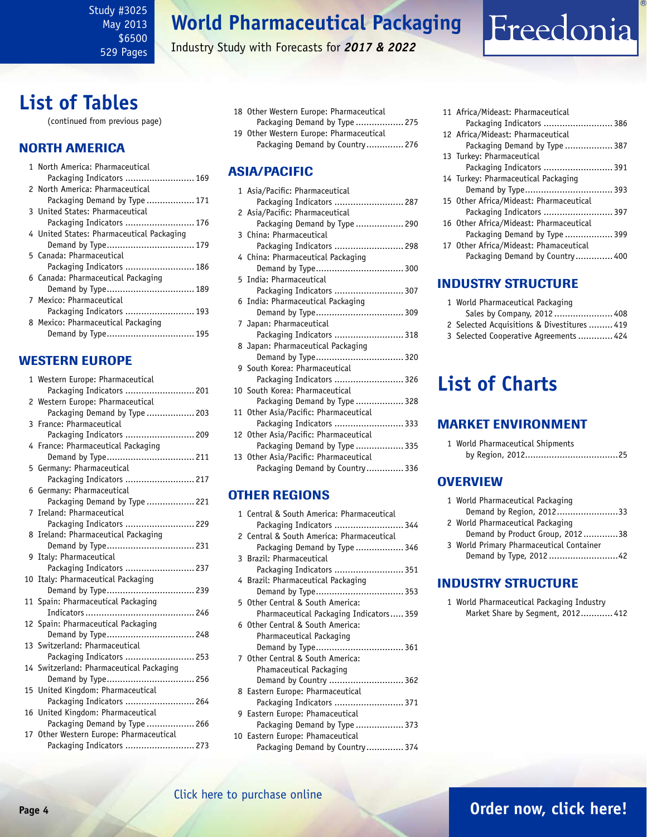Study #3025 May 2013 \$6500 529 Pages

## **World Pharmaceutical Packaging**

Industry Study with Forecasts for *2017 & 2022*

## **List of Tables**

(continued from previous page)

### NORTH AMERICA

|  | 1 North America: Pharmaceutical           |
|--|-------------------------------------------|
|  | Packaging Indicators  169                 |
|  | 2 North America: Pharmaceutical           |
|  | Packaging Demand by Type  171             |
|  | 3 United States: Pharmaceutical           |
|  | Packaging Indicators  176                 |
|  | 4 United States: Pharmaceutical Packaging |
|  | Demand by Type 179                        |
|  | 5 Canada: Pharmaceutical                  |
|  | Packaging Indicators  186                 |
|  | 6 Canada: Pharmaceutical Packaging        |
|  | Demand by Type 189                        |
|  | 7 Mexico: Pharmaceutical                  |
|  | Packaging Indicators  193                 |
|  | 8 Mexico: Pharmaceutical Packaging        |
|  | Demand by Type 195                        |
|  |                                           |

### WESTERN EUROPE

|   | 1 Western Europe: Pharmaceutical         |
|---|------------------------------------------|
|   | Packaging Indicators  201                |
|   | 2 Western Europe: Pharmaceutical         |
|   | Packaging Demand by Type  203            |
| 3 | France: Pharmaceutical                   |
|   | Packaging Indicators  209                |
|   | 4 France: Pharmaceutical Packaging       |
|   | Demand by Type 211                       |
|   | 5 Germany: Pharmaceutical                |
|   | Packaging Indicators  217                |
| 6 | Germany: Pharmaceutical                  |
|   | Packaging Demand by Type  221            |
| 7 | Ireland: Pharmaceutical                  |
|   | Packaging Indicators  229                |
|   | 8 Ireland: Pharmaceutical Packaging      |
|   | Demand by Type 231                       |
|   | 9 Italy: Pharmaceutical                  |
|   | Packaging Indicators  237                |
|   | 10 Italy: Pharmaceutical Packaging       |
|   | Demand by Type 239                       |
|   | 11 Spain: Pharmaceutical Packaging       |
|   |                                          |
|   | 12 Spain: Pharmaceutical Packaging       |
|   | Demand by Type 248                       |
|   | 13 Switzerland: Pharmaceutical           |
|   | Packaging Indicators  253                |
|   | 14 Switzerland: Pharmaceutical Packaging |
|   | Demand by Type 256                       |
|   | 15 United Kingdom: Pharmaceutical        |
|   | Packaging Indicators  264                |
|   | 16 United Kingdom: Pharmaceutical        |
|   | Packaging Demand by Type  266            |
|   | 17 Other Western Europe: Pharmaceutical  |
|   | Packaging Indicators  273                |

- 18 Other Western Europe: Pharmaceutical Packaging Demand by Type .................. 275 19 Other Western Europe: Pharmaceutical
- Packaging Demand by Country.............. 276

### ASIA/PACIFIC

| Packaging Indicators  287<br>2 Asia/Pacific: Pharmaceutical<br>Packaging Demand by Type  290<br>3 China: Pharmaceutical<br>Packaging Indicators  298<br>4 China: Pharmaceutical Packaging<br>5 India: Pharmaceutical<br>Packaging Indicators  307<br>6 India: Pharmaceutical Packaging<br>7 Japan: Pharmaceutical<br>Packaging Indicators  318<br>8 Japan: Pharmaceutical Packaging<br>9 South Korea: Pharmaceutical<br>Packaging Indicators  326<br>10 South Korea: Pharmaceutical<br>Packaging Demand by Type  328<br>11 Other Asia/Pacific: Pharmaceutical<br>Packaging Indicators  333<br>12 Other Asia/Pacific: Pharmaceutical<br>Packaging Demand by Type  335<br>13 Other Asia/Pacific: Pharmaceutical<br>Packaging Demand by Country 336 | 1 Asia/Pacific: Pharmaceutical |
|--------------------------------------------------------------------------------------------------------------------------------------------------------------------------------------------------------------------------------------------------------------------------------------------------------------------------------------------------------------------------------------------------------------------------------------------------------------------------------------------------------------------------------------------------------------------------------------------------------------------------------------------------------------------------------------------------------------------------------------------------|--------------------------------|
|                                                                                                                                                                                                                                                                                                                                                                                                                                                                                                                                                                                                                                                                                                                                                  |                                |
|                                                                                                                                                                                                                                                                                                                                                                                                                                                                                                                                                                                                                                                                                                                                                  |                                |
|                                                                                                                                                                                                                                                                                                                                                                                                                                                                                                                                                                                                                                                                                                                                                  |                                |
|                                                                                                                                                                                                                                                                                                                                                                                                                                                                                                                                                                                                                                                                                                                                                  |                                |
|                                                                                                                                                                                                                                                                                                                                                                                                                                                                                                                                                                                                                                                                                                                                                  |                                |
|                                                                                                                                                                                                                                                                                                                                                                                                                                                                                                                                                                                                                                                                                                                                                  |                                |
|                                                                                                                                                                                                                                                                                                                                                                                                                                                                                                                                                                                                                                                                                                                                                  |                                |
|                                                                                                                                                                                                                                                                                                                                                                                                                                                                                                                                                                                                                                                                                                                                                  |                                |
|                                                                                                                                                                                                                                                                                                                                                                                                                                                                                                                                                                                                                                                                                                                                                  |                                |
|                                                                                                                                                                                                                                                                                                                                                                                                                                                                                                                                                                                                                                                                                                                                                  |                                |
|                                                                                                                                                                                                                                                                                                                                                                                                                                                                                                                                                                                                                                                                                                                                                  |                                |
|                                                                                                                                                                                                                                                                                                                                                                                                                                                                                                                                                                                                                                                                                                                                                  |                                |
|                                                                                                                                                                                                                                                                                                                                                                                                                                                                                                                                                                                                                                                                                                                                                  |                                |
|                                                                                                                                                                                                                                                                                                                                                                                                                                                                                                                                                                                                                                                                                                                                                  |                                |
|                                                                                                                                                                                                                                                                                                                                                                                                                                                                                                                                                                                                                                                                                                                                                  |                                |
|                                                                                                                                                                                                                                                                                                                                                                                                                                                                                                                                                                                                                                                                                                                                                  |                                |
|                                                                                                                                                                                                                                                                                                                                                                                                                                                                                                                                                                                                                                                                                                                                                  |                                |
|                                                                                                                                                                                                                                                                                                                                                                                                                                                                                                                                                                                                                                                                                                                                                  |                                |
|                                                                                                                                                                                                                                                                                                                                                                                                                                                                                                                                                                                                                                                                                                                                                  |                                |
|                                                                                                                                                                                                                                                                                                                                                                                                                                                                                                                                                                                                                                                                                                                                                  |                                |
|                                                                                                                                                                                                                                                                                                                                                                                                                                                                                                                                                                                                                                                                                                                                                  |                                |
|                                                                                                                                                                                                                                                                                                                                                                                                                                                                                                                                                                                                                                                                                                                                                  |                                |
|                                                                                                                                                                                                                                                                                                                                                                                                                                                                                                                                                                                                                                                                                                                                                  |                                |
|                                                                                                                                                                                                                                                                                                                                                                                                                                                                                                                                                                                                                                                                                                                                                  |                                |
|                                                                                                                                                                                                                                                                                                                                                                                                                                                                                                                                                                                                                                                                                                                                                  |                                |

### OTHER REGIONS

| 1 Central & South America: Pharmaceutical |
|-------------------------------------------|
| Packaging Indicators  344                 |
| 2 Central & South America: Pharmaceutical |
| Packaging Demand by Type  346             |
| 3 Brazil: Pharmaceutical                  |
| Packaging Indicators  351                 |
| 4 Brazil: Pharmaceutical Packaging        |
|                                           |
| 5 Other Central & South America:          |
| Pharmaceutical Packaging Indicators 359   |
| 6 Other Central & South America:          |
| Pharmaceutical Packaging                  |
| Demand by Type 361                        |
| 7 Other Central & South America:          |
| Phamaceutical Packaging                   |
| Demand by Country  362                    |
| 8 Eastern Europe: Pharmaceutical          |
| Packaging Indicators  371                 |
| 9 Eastern Europe: Phamaceutical           |
| Packaging Demand by Type  373             |
| 10 Eastern Europe: Phamaceutical          |
| Packaging Demand by Country374            |
|                                           |

| Packaging Indicators  386       |
|---------------------------------|
|                                 |
| Packaging Demand by Type  387   |
|                                 |
| Packaging Indicators  391       |
|                                 |
| Demand by Type 393              |
|                                 |
| Packaging Indicators  397       |
|                                 |
| Packaging Demand by Type  399   |
|                                 |
| Packaging Demand by Country 400 |
|                                 |

Freedonia

### INDUSTRY STRUCTURE

- 1 World Pharmaceutical Packaging
- Sales by Company, 2012 ...................... 408
- 2 Selected Acquisitions & Divestitures ......... 419
- 3 Selected Cooperative Agreements ............. 424

## **List of Charts**

### MARKET ENVIRONMENT

1 World Pharmaceutical Shipments by Region, 2012...................................25

### **OVERVIEW**

| 1 World Pharmaceutical Packaging         |  |
|------------------------------------------|--|
| Demand by Region, 201233                 |  |
| 2 World Pharmaceutical Packaging         |  |
| Demand by Product Group, 201238          |  |
| 3 World Primary Pharmaceutical Container |  |
| Demand by Type, 2012 42                  |  |
|                                          |  |

### INDUSTRY STRUCTURE

1 World Pharmaceutical Packaging Industry Market Share by Segment, 2012............ 412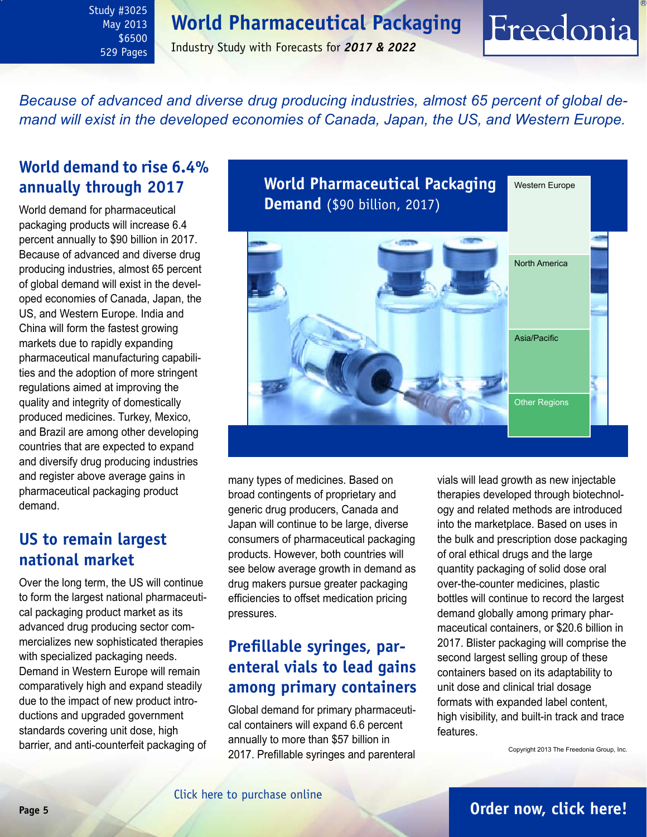## **World Pharmaceutical Packaging**

<span id="page-4-0"></span>Study #3025 May 2013 \$6500 529 Pages

Industry Study with Forecasts for *2017 & 2022*

*Because of advanced and diverse drug producing industries, almost 65 percent of global demand will exist in the developed economies of Canada, Japan, the US, and Western Europe.* 

## **World demand to rise 6.4% annually through 2017**

World demand for pharmaceutical packaging products will increase 6.4 percent annually to \$90 billion in 2017. Because of advanced and diverse drug producing industries, almost 65 percent of global demand will exist in the developed economies of Canada, Japan, the US, and Western Europe. India and China will form the fastest growing markets due to rapidly expanding pharmaceutical manufacturing capabilities and the adoption of more stringent regulations aimed at improving the quality and integrity of domestically produced medicines. Turkey, Mexico, and Brazil are among other developing countries that are expected to expand and diversify drug producing industries and register above average gains in pharmaceutical packaging product demand.

## **US to remain largest national market**

Over the long term, the US will continue to form the largest national pharmaceutical packaging product market as its advanced drug producing sector commercializes new sophisticated therapies with specialized packaging needs. Demand in Western Europe will remain comparatively high and expand steadily due to the impact of new product introductions and upgraded government standards covering unit dose, high barrier, and anti-counterfeit packaging of **World Pharmaceutical Packaging Demand** (\$90 billion, 2017) Western Europe North America Asia/Pacific

many types of medicines. Based on broad contingents of proprietary and generic drug producers, Canada and Japan will continue to be large, diverse consumers of pharmaceutical packaging products. However, both countries will see below average growth in demand as drug makers pursue greater packaging efficiencies to offset medication pricing pressures.

## **Prefillable syringes, parenteral vials to lead gains among primary containers**

Global demand for primary pharmaceutical containers will expand 6.6 percent annually to more than \$57 billion in 2017. Prefillable syringes and parenteral

vials will lead growth as new injectable therapies developed through biotechnology and related methods are introduced into the marketplace. Based on uses in the bulk and prescription dose packaging of oral ethical drugs and the large quantity packaging of solid dose oral over-the-counter medicines, plastic bottles will continue to record the largest demand globally among primary pharmaceutical containers, or \$20.6 billion in 2017. Blister packaging will comprise the second largest selling group of these containers based on its adaptability to unit dose and clinical trial dosage formats with expanded label content, high visibility, and built-in track and trace features.

Other Regions

Freedonia

Copyright 2013 The Freedonia Group, Inc.

## **Page 5 [Order now, click here!](#page-7-0)**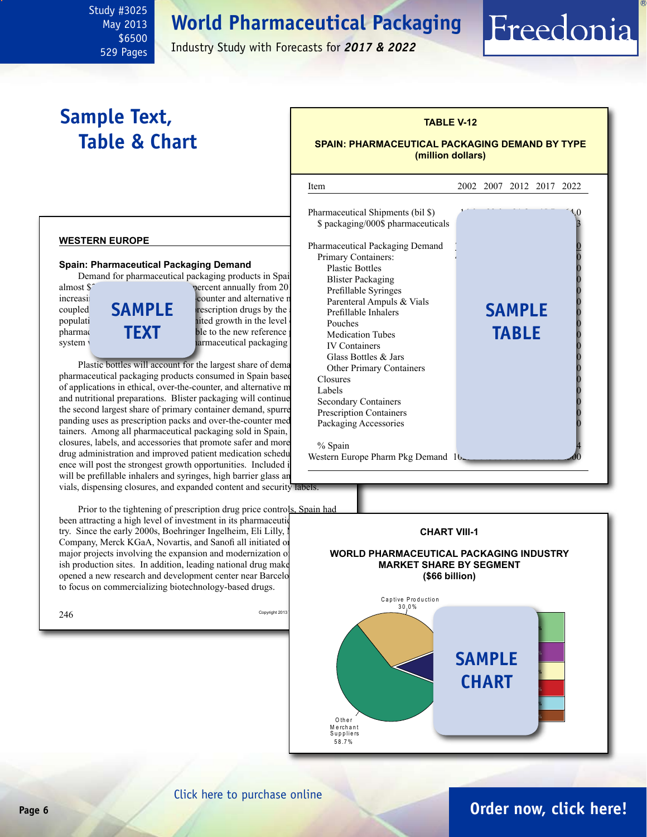## **World Pharmaceutical Packaging**

May 2013 \$6500 529 Pages

<span id="page-5-0"></span>Study #3025

Industry Study with Forecasts for *2017 & 2022*

## **Sample Text, Table & Chart**

## **TABLE V-12 SPAIN: PHARMACEUTICAL PACKAGING DEMAND BY TYPE**

Freedonia

**(million dollars)**

#### almost \$<sup>2</sup> billion in 2017, up 6.7 percent annually from 2017, up 6.7 percent annually from 2012. increasing consumption of over-the-counter and alternative medicines,  $\frac{1}{2}$ coupled  $\mathbb{S}$  **MPI** F rescription drugs by the population, while promote gains  $\frac{1}{2}$  and  $\frac{1}{2}$  are extended  $\frac{1}{2}$  of  $\frac{1}{2}$  external  $\frac{1}{2}$  external  $\frac{1}{2}$  external  $\frac{1}{2}$  external  $\frac{1}{2}$  external  $\frac{1}{2}$  external  $\frac{1}{2}$  external  $\frac{1}{$ pharmace **investment at the TEXT** ble to the new reference system will increase in the faster rise in pharmaceutical packaging  $246$  Copyright 2013 l Item 2002 2007 2012 2017 2022 Pharmaceutical Shipments (bil \$). \$ packaging/000\$ pharmaceuticals Pharmaceutical Packaging Demand Primary Containers: Plastic Bottles Blister Packaging Prefillable Syringes Parenteral Ampuls & Vials Prefillable Inhalers Pouches  $\begin{array}{ccc} 0 & 0 \\ 0 & 0 \\ 0 & 0 \\ 0 & 0 \\ 0 & 0 \\ 0 & 0 \\ 0 & 0 \\ 0 & 0 \\ 0 & 0 \\ 0 & 0 \\ 0 & 0 \\ 0 & 0 \\ 0 & 0 \\ 0 & 0 \\ 0 & 0 \\ 0 & 0 & 0 \\ 0 & 0 & 0 \\ 0 & 0 & 0 \\ 0 & 0 & 0 \\ 0 & 0 & 0 & 0 \\ 0 & 0 & 0 & 0 \\ 0 & 0 & 0 & 0 \\ 0 & 0 & 0 & 0 \\ 0 & 0 & 0 & 0 & 0 \\ 0 & 0 & 0 & 0 & 0 \\$ **Medication Tubes IV Containers** Glass Bottles & Jars Other Primary Containers Closures  $Labels$   $0$ Secondary Containers Prescription Containers Packaging Accessories % Spain Western Europe Pharm Pkg Demand 10 **sample table CHART VIII-1 WORLD PHARMACEUTICAL PACKAGING INDUSTRY MARKET SHARE BY SEGMENT (\$66 billion) SAMP** Captive Production 3 0 .0 % **2.0% 3.1%**

#### **WESTERN EUROPE**

#### **Spain: Pharmaceutical Packaging Demand**

Demand for pharmaceutical packaging products in Spain



Plastic bottles will account for the largest share of dema pharmaceutical packaging products consumed in Spain based of applications in ethical, over-the-counter, and alternative  $m_{\text{Labels}}$ and nutritional preparations. Blister packaging will continue the second largest share of primary container demand, spurre panding uses as prescription packs and over-the-counter med tainers. Among all pharmaceutical packaging sold in Spain, closures, labels, and accessories that promote safer and more drug administration and improved patient medication schedul ence will post the strongest growth opportunities. Included in will be prefillable inhalers and syringes, high barrier glass an vials, dispensing closures, and expanded content and security labels.

Prior to the tightening of prescription drug price controls. Spain had been attracting a high level of investment in its pharmaceutic

try. Since the early 2000s, Boehringer Ingelheim, Eli Lilly, I Company, Merck KGaA, Novartis, and Sanofi all initiated or major projects involving the expansion and modernization of ish production sites. In addition, leading national drug make opened a new research and development center near Barcelo to focus on commercializing biotechnology-based drugs.

**1.2% 1.4% 1.7% 1.9%**

CHART

O th e r M e rch a n t<br>S u p p l i e rs 5 8 .7 %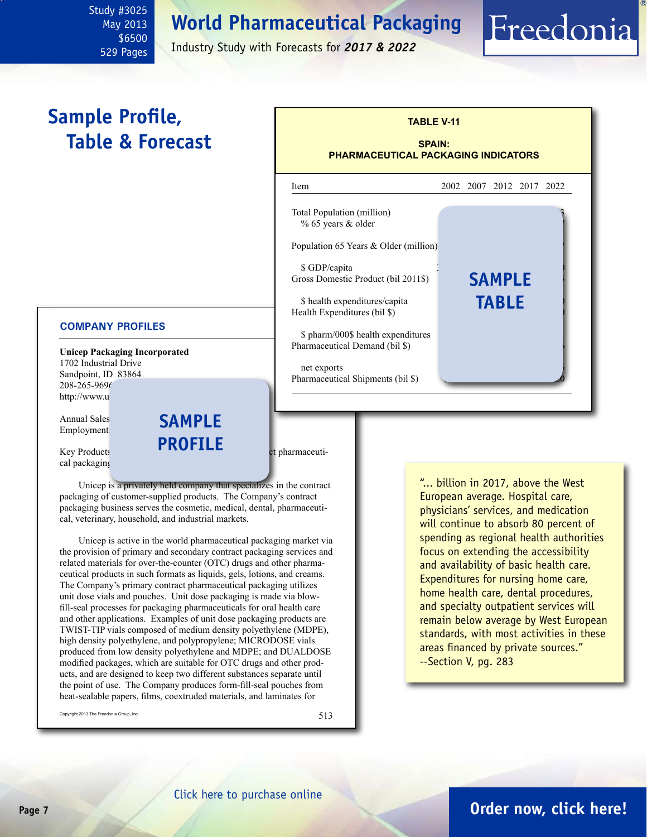## **World Pharmaceutical Packaging**

May 2013 \$6500 529 Pages

<span id="page-6-0"></span>Study #3025

Industry Study with Forecasts for *2017 & 2022*

## **Sample Profile, Table & Forecast**

#### **COMPANY PROFILES**

**Unicep Packaging Incorporated** 1702 Industrial Drive Sandpoint, ID 83864 208-265-9696 http://www.u

Annual Sales<br>Employment Employment:

 $Key$  Products **EXPLANCE Products** between pharmaceutical packaging

Unicep is a privately held company that specializes in the contract packaging of customer-supplied products. The Company's contract packaging business serves the cosmetic, medical, dental, pharmaceutical, veterinary, household, and industrial markets.

**profile**

Unicep is active in the world pharmaceutical packaging market via the provision of primary and secondary contract packaging services and related materials for over-the-counter (OTC) drugs and other pharmaceutical products in such formats as liquids, gels, lotions, and creams. The Company's primary contract pharmaceutical packaging utilizes unit dose vials and pouches. Unit dose packaging is made via blowfill-seal processes for packaging pharmaceuticals for oral health care and other applications. Examples of unit dose packaging products are TWIST-TIP vials composed of medium density polyethylene (MDPE), high density polyethylene, and polypropylene; MICRODOSE vials produced from low density polyethylene and MDPE; and DUALDOSE modified packages, which are suitable for OTC drugs and other products, and are designed to keep two different substances separate until the point of use. The Company produces form-fill-seal pouches from heat-sealable papers, films, coextruded materials, and laminates for

Copyright 2013 The Freedonia Group, Inc.  $513$ 



"... billion in 2017, above the West European average. Hospital care, physicians' services, and medication will continue to absorb 80 percent of spending as regional health authorities focus on extending the accessibility and availability of basic health care. Expenditures for nursing home care, home health care, dental procedures, and specialty outpatient services will remain below average by West European standards, with most activities in these areas financed by private sources." --Section V, pg. 283

Freedonia

## **Page 7 [Order now, click here!](#page-7-0)**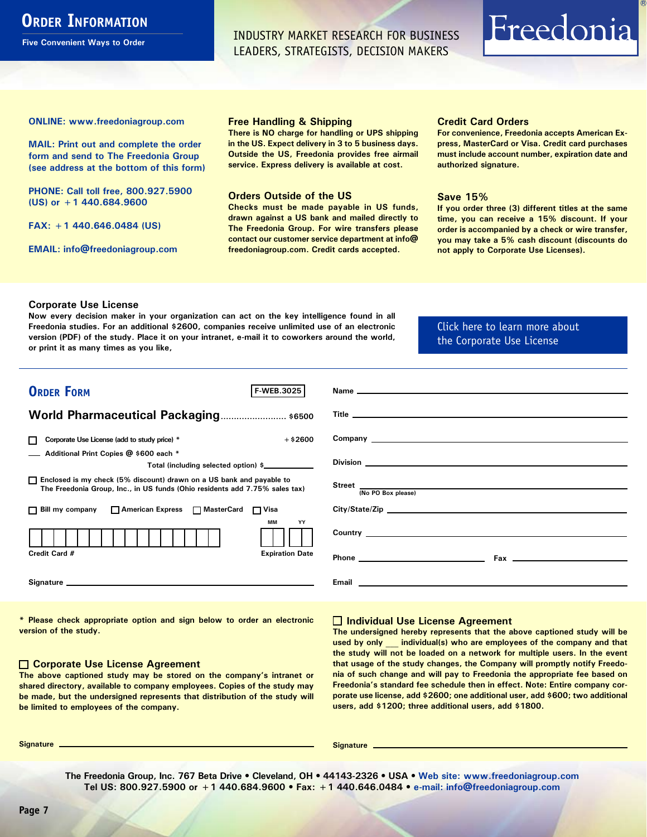## <span id="page-7-0"></span>**ORDER INFORMATION**

**Five Convenient Ways to Order**

INDUSTRY MARKET RESEARCH FOR BUSINESS LEADERS, STRATEGISTS, DECISION MAKERS

# Freedonia

**ONLINE: [www.freedoniagroup.com](http://www.freedoniagroup.com/DocumentDetails.aspx?Referrerid=FM-Bro&StudyID=3025)**

**MAIL: Print out and complete the order form and send to The Freedonia Group (see address at the bottom of this form)**

**PHONE: Call toll free, 800.927.5900 (US) or +1 440.684.9600**

**FAX: +1 440.646.0484 (US)**

**EMAIL: [info@freedoniagroup.com](mailto:info@freedoniagroup.com)**

#### **Free Handling & Shipping**

**There is NO charge for handling or UPS shipping in the US. Expect delivery in 3 to 5 business days. Outside the US, Freedonia provides free airmail service. Express delivery is available at cost.**

#### **Orders Outside of the US**

**Checks must be made payable in US funds, drawn against a US bank and mailed directly to The Freedonia Group. For wire transfers please contact our customer service department at info@ freedoniagroup.com. Credit cards accepted.**

#### **Credit Card Orders**

**For convenience, Freedonia accepts American Express, MasterCard or Visa. Credit card purchases must include account number, expiration date and authorized signature.**

#### **Save 15%**

**If you order three (3) different titles at the same time, you can receive a 15% discount. If your order is accompanied by a check or wire transfer, you may take a 5% cash discount (discounts do not apply to Corporate Use Licenses).**

#### **Corporate Use License**

**Now every decision maker in your organization can act on the key intelligence found in all Freedonia studies. For an additional \$2600, companies receive unlimited use of an electronic version (PDF) of the study. Place it on your intranet, e-mail it to coworkers around the world, or print it as many times as you like,** 

#### [Click here to learn more about](http://www.freedoniagroup.com/pdf/FreedoniaCULBro.pdf)  [the Corporate Use License](http://www.freedoniagroup.com/pdf/FreedoniaCULBro.pdf)

| <b>ORDER FORM</b><br><b>F-WEB.3025</b>                                                                                                                |                                                                                                                       |
|-------------------------------------------------------------------------------------------------------------------------------------------------------|-----------------------------------------------------------------------------------------------------------------------|
|                                                                                                                                                       |                                                                                                                       |
| World Pharmaceutical Packaging \$6500                                                                                                                 |                                                                                                                       |
|                                                                                                                                                       |                                                                                                                       |
| $+ $2600$<br>Corporate Use License (add to study price) *<br>П                                                                                        |                                                                                                                       |
| Additional Print Copies @ \$600 each *                                                                                                                |                                                                                                                       |
| Total (including selected option) \$                                                                                                                  |                                                                                                                       |
| □ Enclosed is my check (5% discount) drawn on a US bank and payable to<br>The Freedonia Group, Inc., in US funds (Ohio residents add 7.75% sales tax) | Street <u>No. PO Box please</u>                                                                                       |
|                                                                                                                                                       |                                                                                                                       |
| □ Bill my company □ American Express □ MasterCard □ Visa                                                                                              |                                                                                                                       |
| MМ<br>YY                                                                                                                                              |                                                                                                                       |
|                                                                                                                                                       |                                                                                                                       |
| Credit Card #<br><b>Expiration Date</b>                                                                                                               |                                                                                                                       |
|                                                                                                                                                       |                                                                                                                       |
|                                                                                                                                                       |                                                                                                                       |
|                                                                                                                                                       | <b>Email Exercise Service Service Service Service Service Service Service Service Service Service Service Service</b> |
|                                                                                                                                                       |                                                                                                                       |

**\* Please check appropriate option and sign below to order an electronic version of the study.**

#### **Corporate Use License Agreement**

**The above captioned study may be stored on the company's intranet or shared directory, available to company employees. Copies of the study may be made, but the undersigned represents that distribution of the study will be limited to employees of the company.**

#### **Individual Use License Agreement**

**The undersigned hereby represents that the above captioned study will be used by only \_\_\_ individual(s) who are employees of the company and that the study will not be loaded on a network for multiple users. In the event that usage of the study changes, the Company will promptly notify Freedonia of such change and will pay to Freedonia the appropriate fee based on Freedonia's standard fee schedule then in effect. Note: Entire company corporate use license, add \$2600; one additional user, add \$600; two additional users, add \$1200; three additional users, add \$1800.**

**Signature Signature**

**The Freedonia Group, Inc. 767 Beta Drive • Cleveland, OH • 44143-2326 • USA • [Web site: www.freedoniagroup.com](http://www.freedoniagroup.com/Home.aspx?ReferrerId=FM-Bro) Tel US: 800.927.5900 or +1 440.684.9600 • Fax: +1 440.646.0484 • [e-mail: info@freedoniagroup.com](mailto:info@freedoniagroup.com)**